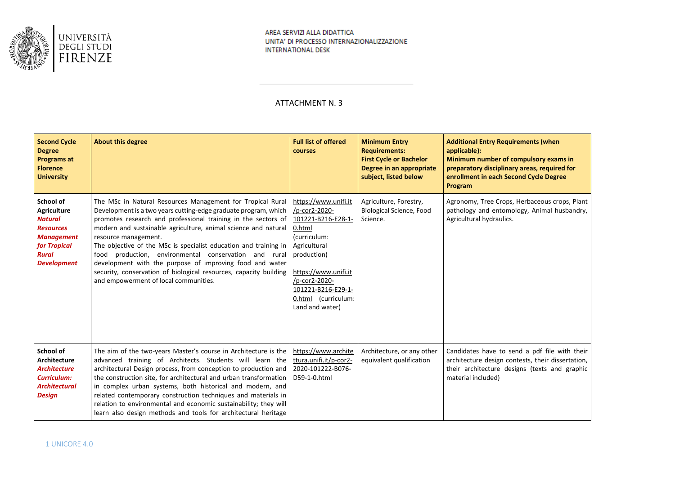

# ATTACHMENT N. 3

| <b>Second Cycle</b><br><b>Degree</b><br>Programs at<br><b>Florence</b><br><b>University</b>                                                      | <b>About this degree</b>                                                                                                                                                                                                                                                                                                                                                                                                                                                                                                                                                                        | <b>Full list of offered</b><br>courses                                                                                                                                                                                        | <b>Minimum Entry</b><br><b>Requirements:</b><br><b>First Cycle or Bachelor</b><br>Degree in an appropriate<br>subject, listed below | <b>Additional Entry Requirements (when</b><br>applicable):<br>Minimum number of compulsory exams in<br>preparatory disciplinary areas, required for<br>enrollment in each Second Cycle Degree<br>Program |
|--------------------------------------------------------------------------------------------------------------------------------------------------|-------------------------------------------------------------------------------------------------------------------------------------------------------------------------------------------------------------------------------------------------------------------------------------------------------------------------------------------------------------------------------------------------------------------------------------------------------------------------------------------------------------------------------------------------------------------------------------------------|-------------------------------------------------------------------------------------------------------------------------------------------------------------------------------------------------------------------------------|-------------------------------------------------------------------------------------------------------------------------------------|----------------------------------------------------------------------------------------------------------------------------------------------------------------------------------------------------------|
| School of<br><b>Agriculture</b><br><b>Natural</b><br><b>Resources</b><br><b>Management</b><br>for Tropical<br><b>Rural</b><br><b>Development</b> | The MSc in Natural Resources Management for Tropical Rural<br>Development is a two years cutting-edge graduate program, which<br>promotes research and professional training in the sectors of<br>modern and sustainable agriculture, animal science and natural<br>resource management.<br>The objective of the MSc is specialist education and training in<br>food production, environmental conservation and rural<br>development with the purpose of improving food and water<br>security, conservation of biological resources, capacity building<br>and empowerment of local communities. | https://www.unifi.it<br>/p-cor2-2020-<br>101221-B216-E28-1-<br>0.html<br>(curriculum:<br>Agricultural<br>production)<br>https://www.unifi.it<br>/p-cor2-2020-<br>101221-B216-E29-1-<br>0.html (curriculum:<br>Land and water) | Agriculture, Forestry,<br>Biological Science, Food<br>Science.                                                                      | Agronomy, Tree Crops, Herbaceous crops, Plant<br>pathology and entomology, Animal husbandry,<br>Agricultural hydraulics.                                                                                 |
| School of<br><b>Architecture</b><br><b>Architecture</b><br><b>Curriculum:</b><br><b>Architectural</b><br><b>Design</b>                           | The aim of the two-years Master's course in Architecture is the<br>advanced training of Architects. Students will learn the<br>architectural Design process, from conception to production and<br>the construction site, for architectural and urban transformation<br>in complex urban systems, both historical and modern, and<br>related contemporary construction techniques and materials in<br>relation to environmental and economic sustainability; they will<br>learn also design methods and tools for architectural heritage                                                         | https://www.archite<br>ttura.unifi.it/p-cor2-<br>2020-101222-B076-<br>D59-1-0.html                                                                                                                                            | Architecture, or any other<br>equivalent qualification                                                                              | Candidates have to send a pdf file with their<br>architecture design contests, their dissertation,<br>their architecture designs (texts and graphic<br>material included)                                |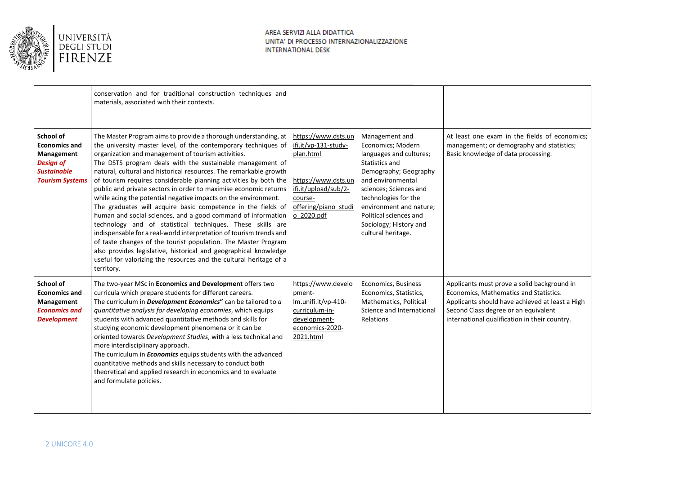

|                                                                                                                     | conservation and for traditional construction techniques and<br>materials, associated with their contexts.                                                                                                                                                                                                                                                                                                                                                                                                                                                                                                                                                                                                                                                                                                                                                                                                                                                                                                                         |                                                                                                                                                          |                                                                                                                                                                                                                                                                                       |                                                                                                                                                                                                                                   |
|---------------------------------------------------------------------------------------------------------------------|------------------------------------------------------------------------------------------------------------------------------------------------------------------------------------------------------------------------------------------------------------------------------------------------------------------------------------------------------------------------------------------------------------------------------------------------------------------------------------------------------------------------------------------------------------------------------------------------------------------------------------------------------------------------------------------------------------------------------------------------------------------------------------------------------------------------------------------------------------------------------------------------------------------------------------------------------------------------------------------------------------------------------------|----------------------------------------------------------------------------------------------------------------------------------------------------------|---------------------------------------------------------------------------------------------------------------------------------------------------------------------------------------------------------------------------------------------------------------------------------------|-----------------------------------------------------------------------------------------------------------------------------------------------------------------------------------------------------------------------------------|
| School of<br><b>Economics and</b><br>Management<br><b>Design of</b><br><b>Sustainable</b><br><b>Tourism Systems</b> | The Master Program aims to provide a thorough understanding, at<br>the university master level, of the contemporary techniques of<br>organization and management of tourism activities.<br>The DSTS program deals with the sustainable management of<br>natural, cultural and historical resources. The remarkable growth<br>of tourism requires considerable planning activities by both the<br>public and private sectors in order to maximise economic returns<br>while acing the potential negative impacts on the environment.<br>The graduates will acquire basic competence in the fields of<br>human and social sciences, and a good command of information<br>technology and of statistical techniques. These skills are<br>indispensable for a real-world interpretation of tourism trends and<br>of taste changes of the tourist population. The Master Program<br>also provides legislative, historical and geographical knowledge<br>useful for valorizing the resources and the cultural heritage of a<br>territory. | https://www.dsts.un<br>ifi.it/vp-131-study-<br>plan.html<br>https://www.dsts.un<br>ifi.it/upload/sub/2-<br>course-<br>offering/piano studi<br>o 2020.pdf | Management and<br>Economics; Modern<br>languages and cultures;<br>Statistics and<br>Demography; Geography<br>and environmental<br>sciences; Sciences and<br>technologies for the<br>environment and nature;<br>Political sciences and<br>Sociology; History and<br>cultural heritage. | At least one exam in the fields of economics:<br>management; or demography and statistics;<br>Basic knowledge of data processing.                                                                                                 |
| School of<br><b>Economics and</b><br>Management<br><b>Economics and</b><br><b>Development</b>                       | The two-year MSc in Economics and Development offers two<br>curricula which prepare students for different careers.<br>The curriculum in <b>Development Economics</b> " can be tailored to a<br>quantitative analysis for developing economies, which equips<br>students with advanced quantitative methods and skills for<br>studying economic development phenomena or it can be<br>oriented towards Development Studies, with a less technical and<br>more interdisciplinary approach.<br>The curriculum in <b>Economics</b> equips students with the advanced<br>quantitative methods and skills necessary to conduct both<br>theoretical and applied research in economics and to evaluate<br>and formulate policies.                                                                                                                                                                                                                                                                                                         | https://www.develo<br>pment-<br>lm.unifi.it/vp-410-<br>curriculum-in-<br>development-<br>economics-2020-<br>2021.html                                    | Economics, Business<br>Economics, Statistics,<br>Mathematics, Political<br>Science and International<br>Relations                                                                                                                                                                     | Applicants must prove a solid background in<br>Economics, Mathematics and Statistics.<br>Applicants should have achieved at least a High<br>Second Class degree or an equivalent<br>international qualification in their country. |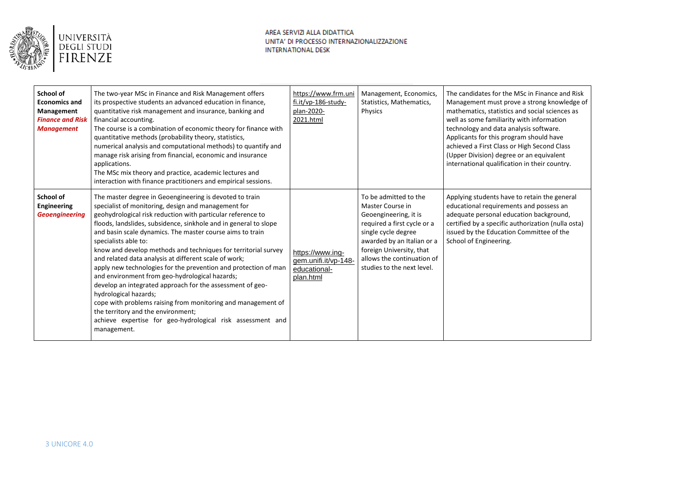

| School of<br><b>Economics and</b><br>Management<br><b>Finance and Risk</b><br><b>Management</b> | The two-year MSc in Finance and Risk Management offers<br>its prospective students an advanced education in finance,<br>quantitative risk management and insurance, banking and<br>financial accounting.<br>The course is a combination of economic theory for finance with<br>quantitative methods (probability theory, statistics,<br>numerical analysis and computational methods) to quantify and<br>manage risk arising from financial, economic and insurance<br>applications.<br>The MSc mix theory and practice, academic lectures and<br>interaction with finance practitioners and empirical sessions.                                                                                                                                                                                                                                                | https://www.frm.uni<br>fi.it/vp-186-study-<br>plan-2020-<br>2021.html | Management, Economics,<br>Statistics, Mathematics,<br>Physics                                                                                                                                                                                  | The candidates for the MSc in Finance and Risk<br>Management must prove a strong knowledge of<br>mathematics, statistics and social sciences as<br>well as some familiarity with information<br>technology and data analysis software.<br>Applicants for this program should have<br>achieved a First Class or High Second Class<br>(Upper Division) degree or an equivalent<br>international qualification in their country. |
|-------------------------------------------------------------------------------------------------|-----------------------------------------------------------------------------------------------------------------------------------------------------------------------------------------------------------------------------------------------------------------------------------------------------------------------------------------------------------------------------------------------------------------------------------------------------------------------------------------------------------------------------------------------------------------------------------------------------------------------------------------------------------------------------------------------------------------------------------------------------------------------------------------------------------------------------------------------------------------|-----------------------------------------------------------------------|------------------------------------------------------------------------------------------------------------------------------------------------------------------------------------------------------------------------------------------------|-------------------------------------------------------------------------------------------------------------------------------------------------------------------------------------------------------------------------------------------------------------------------------------------------------------------------------------------------------------------------------------------------------------------------------|
| School of<br><b>Engineering</b><br><b>Geoengineering</b>                                        | The master degree in Geoengineering is devoted to train<br>specialist of monitoring, design and management for<br>geohydrological risk reduction with particular reference to<br>floods, landslides, subsidence, sinkhole and in general to slope<br>and basin scale dynamics. The master course aims to train<br>specialists able to:<br>know and develop methods and techniques for territorial survey<br>and related data analysis at different scale of work;<br>apply new technologies for the prevention and protection of man<br>and environment from geo-hydrological hazards;<br>develop an integrated approach for the assessment of geo-<br>hydrological hazards;<br>cope with problems raising from monitoring and management of<br>the territory and the environment;<br>achieve expertise for geo-hydrological risk assessment and<br>management. | https://www.ing-<br>gem.unifi.it/vp-148-<br>educational-<br>plan.html | To be admitted to the<br>Master Course in<br>Geoengineering, it is<br>required a first cycle or a<br>single cycle degree<br>awarded by an Italian or a<br>foreign University, that<br>allows the continuation of<br>studies to the next level. | Applying students have to retain the general<br>educational requirements and possess an<br>adequate personal education background,<br>certified by a specific authorization (nulla osta)<br>issued by the Education Committee of the<br>School of Engineering.                                                                                                                                                                |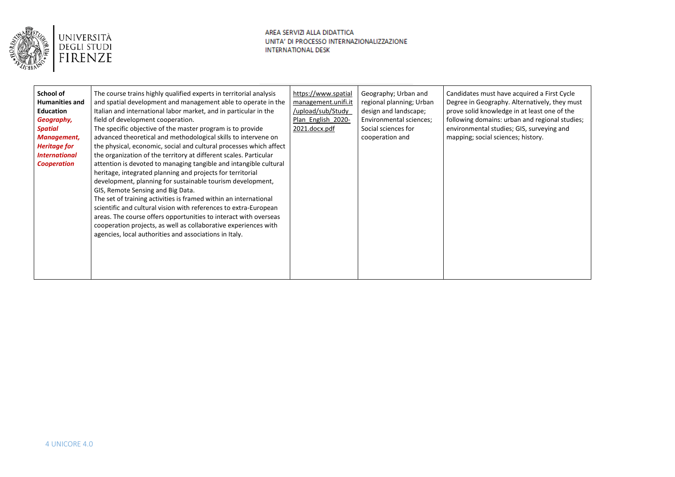

| School of<br><b>Humanities and</b><br><b>Education</b><br>Geography,             | The course trains highly qualified experts in territorial analysis<br>and spatial development and management able to operate in the<br>Italian and international labor market, and in particular in the<br>field of development cooperation.                                                                                                                                                                                                                                                                                                                                                                                                                                                                                                                                             | https://www.spatial<br>management.unifi.it<br>/upload/sub/Study<br>Plan English 2020- | Geography; Urban and<br>regional planning; Urban<br>design and landscape;<br>Environmental sciences; | Candidates must have acquired a First Cycle<br>Degree in Geography. Alternatively, they must<br>prove solid knowledge in at least one of the<br>following domains: urban and regional studies; |
|----------------------------------------------------------------------------------|------------------------------------------------------------------------------------------------------------------------------------------------------------------------------------------------------------------------------------------------------------------------------------------------------------------------------------------------------------------------------------------------------------------------------------------------------------------------------------------------------------------------------------------------------------------------------------------------------------------------------------------------------------------------------------------------------------------------------------------------------------------------------------------|---------------------------------------------------------------------------------------|------------------------------------------------------------------------------------------------------|------------------------------------------------------------------------------------------------------------------------------------------------------------------------------------------------|
| <b>Spatial</b>                                                                   | The specific objective of the master program is to provide                                                                                                                                                                                                                                                                                                                                                                                                                                                                                                                                                                                                                                                                                                                               | 2021.docx.pdf                                                                         | Social sciences for                                                                                  | environmental studies; GIS, surveying and                                                                                                                                                      |
| Management,<br><b>Heritage for</b><br><i><b>International</b></i><br>Cooperation | advanced theoretical and methodological skills to intervene on<br>the physical, economic, social and cultural processes which affect<br>the organization of the territory at different scales. Particular<br>attention is devoted to managing tangible and intangible cultural<br>heritage, integrated planning and projects for territorial<br>development, planning for sustainable tourism development,<br>GIS, Remote Sensing and Big Data.<br>The set of training activities is framed within an international<br>scientific and cultural vision with references to extra-European<br>areas. The course offers opportunities to interact with overseas<br>cooperation projects, as well as collaborative experiences with<br>agencies, local authorities and associations in Italy. |                                                                                       | cooperation and                                                                                      | mapping; social sciences; history.                                                                                                                                                             |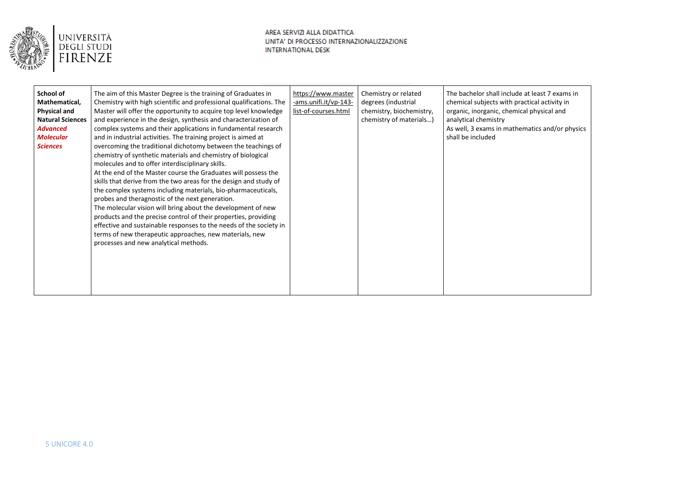

| School of               | The aim of this Master Degree is the training of Graduates in       | https://www.master    | Chemistry or related     | The bachelor shall include at least 7 exams in |
|-------------------------|---------------------------------------------------------------------|-----------------------|--------------------------|------------------------------------------------|
| Mathematical,           | Chemistry with high scientific and professional qualifications. The | -ams.unifi.it/vp-143- | degrees (industrial      | chemical subjects with practical activity in   |
| <b>Physical and</b>     | Master will offer the opportunity to acquire top level knowledge    | list-of-courses.html  | chemistry, biochemistry, | organic, inorganic, chemical physical and      |
| <b>Natural Sciences</b> | and experience in the design, synthesis and characterization of     |                       | chemistry of materials)  | analytical chemistry                           |
| <b>Advanced</b>         | complex systems and their applications in fundamental research      |                       |                          | As well, 3 exams in mathematics and/or physics |
| <b>Molecular</b>        | and in industrial activities. The training project is aimed at      |                       |                          | shall be included                              |
| <b>Sciences</b>         | overcoming the traditional dichotomy between the teachings of       |                       |                          |                                                |
|                         | chemistry of synthetic materials and chemistry of biological        |                       |                          |                                                |
|                         | molecules and to offer interdisciplinary skills.                    |                       |                          |                                                |
|                         | At the end of the Master course the Graduates will possess the      |                       |                          |                                                |
|                         | skills that derive from the two areas for the design and study of   |                       |                          |                                                |
|                         | the complex systems including materials, bio-pharmaceuticals,       |                       |                          |                                                |
|                         | probes and theragnostic of the next generation.                     |                       |                          |                                                |
|                         | The molecular vision will bring about the development of new        |                       |                          |                                                |
|                         | products and the precise control of their properties, providing     |                       |                          |                                                |
|                         |                                                                     |                       |                          |                                                |
|                         | effective and sustainable responses to the needs of the society in  |                       |                          |                                                |
|                         | terms of new therapeutic approaches, new materials, new             |                       |                          |                                                |
|                         | processes and new analytical methods.                               |                       |                          |                                                |
|                         |                                                                     |                       |                          |                                                |
|                         |                                                                     |                       |                          |                                                |
|                         |                                                                     |                       |                          |                                                |
|                         |                                                                     |                       |                          |                                                |
|                         |                                                                     |                       |                          |                                                |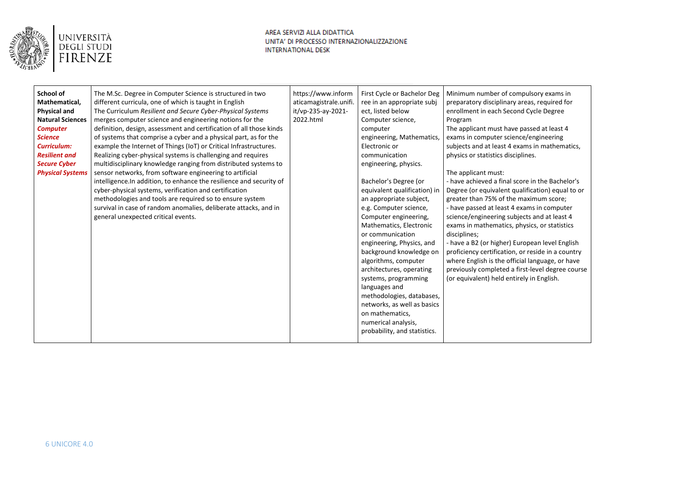

| https://www.inform<br>School of<br>The M.Sc. Degree in Computer Science is structured in two<br>Minimum number of compulsory exams in<br>First Cycle or Bachelor Deg<br>Mathematical,<br>different curricula, one of which is taught in English<br>preparatory disciplinary areas, required for<br>aticamagistrale.unifi.<br>ree in an appropriate subj<br>The Curriculum Resilient and Secure Cyber-Physical Systems<br>it/vp-235-ay-2021-<br>enrollment in each Second Cycle Degree<br><b>Physical and</b><br>ect, listed below<br><b>Natural Sciences</b><br>merges computer science and engineering notions for the<br>2022.html<br>Computer science,<br>Program<br>definition, design, assessment and certification of all those kinds<br>The applicant must have passed at least 4<br><b>Computer</b><br>computer<br>of systems that comprise a cyber and a physical part, as for the<br>engineering, Mathematics,<br>exams in computer science/engineering<br><b>Science</b><br>example the Internet of Things (IoT) or Critical Infrastructures.<br><b>Curriculum:</b><br>Electronic or<br>subjects and at least 4 exams in mathematics,<br><b>Resilient and</b><br>Realizing cyber-physical systems is challenging and requires<br>communication<br>physics or statistics disciplines.<br><b>Secure Cyber</b><br>multidisciplinary knowledge ranging from distributed systems to<br>engineering, physics.<br>sensor networks, from software engineering to artificial<br><b>Physical Systems</b><br>The applicant must:<br>Bachelor's Degree (or<br>- have achieved a final score in the Bachelor's<br>intelligence. In addition, to enhance the resilience and security of<br>cyber-physical systems, verification and certification<br>equivalent qualification) in<br>Degree (or equivalent qualification) equal to or<br>methodologies and tools are required so to ensure system<br>greater than 75% of the maximum score;<br>an appropriate subject,<br>survival in case of random anomalies, deliberate attacks, and in<br>e.g. Computer science,<br>- have passed at least 4 exams in computer<br>science/engineering subjects and at least 4<br>general unexpected critical events.<br>Computer engineering,<br>Mathematics, Electronic<br>exams in mathematics, physics, or statistics<br>or communication<br>disciplines;<br>- have a B2 (or higher) European level English<br>engineering, Physics, and<br>background knowledge on<br>proficiency certification, or reside in a country<br>algorithms, computer<br>where English is the official language, or have<br>previously completed a first-level degree course<br>architectures, operating<br>(or equivalent) held entirely in English.<br>systems, programming<br>languages and<br>methodologies, databases,<br>networks, as well as basics<br>on mathematics, |                     |  |  |  |
|----------------------------------------------------------------------------------------------------------------------------------------------------------------------------------------------------------------------------------------------------------------------------------------------------------------------------------------------------------------------------------------------------------------------------------------------------------------------------------------------------------------------------------------------------------------------------------------------------------------------------------------------------------------------------------------------------------------------------------------------------------------------------------------------------------------------------------------------------------------------------------------------------------------------------------------------------------------------------------------------------------------------------------------------------------------------------------------------------------------------------------------------------------------------------------------------------------------------------------------------------------------------------------------------------------------------------------------------------------------------------------------------------------------------------------------------------------------------------------------------------------------------------------------------------------------------------------------------------------------------------------------------------------------------------------------------------------------------------------------------------------------------------------------------------------------------------------------------------------------------------------------------------------------------------------------------------------------------------------------------------------------------------------------------------------------------------------------------------------------------------------------------------------------------------------------------------------------------------------------------------------------------------------------------------------------------------------------------------------------------------------------------------------------------------------------------------------------------------------------------------------------------------------------------------------------------------------------------------------------------------------------------------------------------------------------------------------------------------------------------------------------------------------------------------------------------------------------------|---------------------|--|--|--|
| probability, and statistics.                                                                                                                                                                                                                                                                                                                                                                                                                                                                                                                                                                                                                                                                                                                                                                                                                                                                                                                                                                                                                                                                                                                                                                                                                                                                                                                                                                                                                                                                                                                                                                                                                                                                                                                                                                                                                                                                                                                                                                                                                                                                                                                                                                                                                                                                                                                                                                                                                                                                                                                                                                                                                                                                                                                                                                                                                 | numerical analysis, |  |  |  |